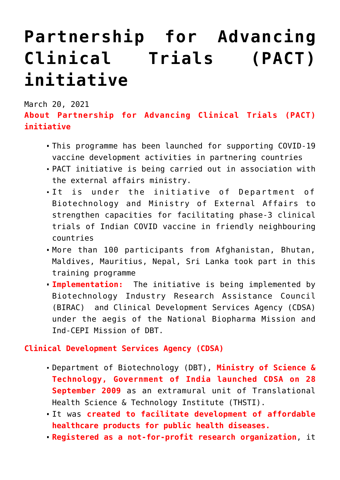## **[Partnership for Advancing](https://journalsofindia.com/partnership-for-advancing-clinical-trials-pact-initiative/) [Clinical Trials \(PACT\)](https://journalsofindia.com/partnership-for-advancing-clinical-trials-pact-initiative/) [initiative](https://journalsofindia.com/partnership-for-advancing-clinical-trials-pact-initiative/)**

March 20, 2021

**About Partnership for Advancing Clinical Trials (PACT) initiative**

- This programme has been launched for supporting COVID-19 vaccine development activities in partnering countries
- PACT initiative is being carried out in association with the external affairs ministry.
- It is under the initiative of Department of Biotechnology and Ministry of External Affairs to strengthen capacities for facilitating phase-3 clinical trials of Indian COVID vaccine in friendly neighbouring countries
- More than 100 participants from Afghanistan, Bhutan, Maldives, Mauritius, Nepal, Sri Lanka took part in this training programme
- **Implementation:** The initiative is being implemented by Biotechnology Industry Research Assistance Council (BIRAC) and Clinical Development Services Agency (CDSA) under the aegis of the National Biopharma Mission and Ind-CEPI Mission of DBT.

**Clinical Development Services Agency (CDSA)**

- Department of Biotechnology (DBT), **Ministry of Science & Technology, Government of India launched CDSA on 28 September 2009** as an extramural unit of Translational Health Science & Technology Institute (THSTI).
- It was **created to facilitate development of affordable healthcare products for public health diseases.**
- **Registered as a not-for-profit research organization**, it